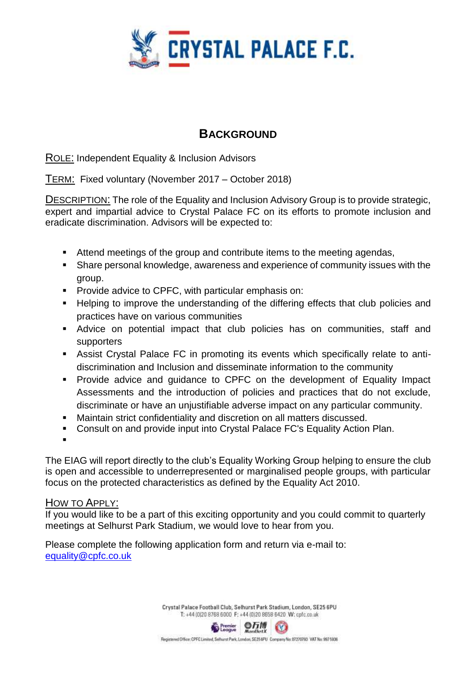

## **BACKGROUND**

ROLE: Independent Equality & Inclusion Advisors

TERM: Fixed voluntary (November 2017 – October 2018)

DESCRIPTION: The role of the Equality and Inclusion Advisory Group is to provide strategic, expert and impartial advice to Crystal Palace FC on its efforts to promote inclusion and eradicate discrimination. Advisors will be expected to:

- Attend meetings of the group and contribute items to the meeting agendas,
- Share personal knowledge, awareness and experience of community issues with the group.
- **Provide advice to CPFC, with particular emphasis on:**
- Helping to improve the understanding of the differing effects that club policies and practices have on various communities
- Advice on potential impact that club policies has on communities, staff and supporters
- Assist Crystal Palace FC in promoting its events which specifically relate to antidiscrimination and Inclusion and disseminate information to the community
- **Provide advice and guidance to CPFC on the development of Equality Impact** Assessments and the introduction of policies and practices that do not exclude, discriminate or have an unjustifiable adverse impact on any particular community.
- Maintain strict confidentiality and discretion on all matters discussed.
- Consult on and provide input into Crystal Palace FC's Equality Action Plan.
- .

The EIAG will report directly to the club's Equality Working Group helping to ensure the club is open and accessible to underrepresented or marginalised people groups, with particular focus on the protected characteristics as defined by the Equality Act 2010.

## HOW TO APPLY:

If you would like to be a part of this exciting opportunity and you could commit to quarterly meetings at Selhurst Park Stadium, we would love to hear from you.

Please complete the following application form and return via e-mail to: [equality@cpfc.co.uk](mailto:Equality@cpfc.co.uk)

> Crystal Palace Football Club, Selhurst Park Stadium, London, SE25 6PU T: +44 (0)20 8768 6000 F: +44 (0)20 8658 6420 W: cpfc.co.uk

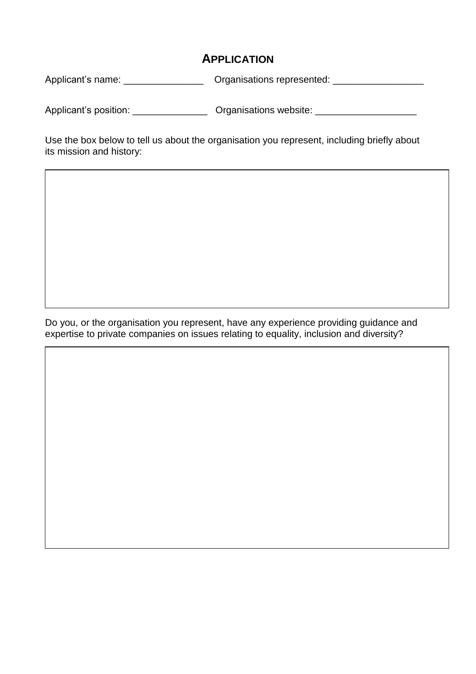## **APPLICATION**

Applicant's name: \_\_\_\_\_\_\_\_\_\_\_\_\_\_\_\_\_\_\_\_ Organisations represented: \_\_\_\_\_\_\_\_\_\_\_\_\_\_

Applicant's position: \_\_\_\_\_\_\_\_\_\_\_\_\_\_\_\_\_ Organisations website: \_\_\_\_\_\_\_\_\_\_\_\_\_\_\_\_\_

Use the box below to tell us about the organisation you represent, including briefly about its mission and history:

Do you, or the organisation you represent, have any experience providing guidance and expertise to private companies on issues relating to equality, inclusion and diversity?